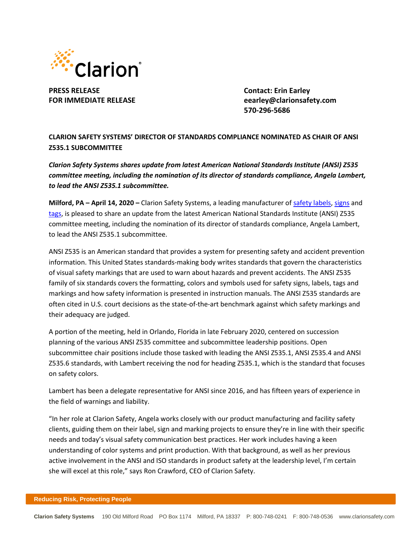

**PRESS RELEASE Contact: Erin Earley**

**FOR IMMEDIATE RELEASE eearley@clarionsafety.com 570-296-5686**

**CLARION SAFETY SYSTEMS' DIRECTOR OF STANDARDS COMPLIANCE NOMINATED AS CHAIR OF ANSI Z535.1 SUBCOMMITTEE**

*Clarion Safety Systems shares update from latest American National Standards Institute (ANSI) Z535 committee meeting, including the nomination of its director of standards compliance, Angela Lambert, to lead the ANSI Z535.1 subcommittee.* 

**Milford, PA – April 14, 2020 –** Clarion Safety Systems, a leading manufacturer o[f safety labels,](https://www.clarionsafety.com/ANSI-ISO-Safety-Labels) [signs](https://www.clarionsafety.com/Facility-Safety) and [tags,](https://www.clarionsafety.com/safety-tags/) is pleased to share an update from the latest American National Standards Institute (ANSI) Z535 committee meeting, including the nomination of its director of standards compliance, Angela Lambert, to lead the ANSI Z535.1 subcommittee.

ANSI Z535 is an American standard that provides a system for presenting safety and accident prevention information. This United States standards‐making body writes standards that govern the characteristics of visual safety markings that are used to warn about hazards and prevent accidents. The ANSI Z535 family of six standards covers the formatting, colors and symbols used for safety signs, labels, tags and markings and how safety information is presented in instruction manuals. The ANSI Z535 standards are often cited in U.S. court decisions as the state‐of‐the‐art benchmark against which safety markings and their adequacy are judged.

A portion of the meeting, held in Orlando, Florida in late February 2020, centered on succession planning of the various ANSI Z535 committee and subcommittee leadership positions. Open subcommittee chair positions include those tasked with leading the ANSI Z535.1, ANSI Z535.4 and ANSI Z535.6 standards, with Lambert receiving the nod for heading Z535.1, which is the standard that focuses on safety colors.

Lambert has been a delegate representative for ANSI since 2016, and has fifteen years of experience in the field of warnings and liability.

"In her role at Clarion Safety, Angela works closely with our product manufacturing and facility safety clients, guiding them on their label, sign and marking projects to ensure they're in line with their specific needs and today's visual safety communication best practices. Her work includes having a keen understanding of color systems and print production. With that background, as well as her previous active involvement in the ANSI and ISO standards in product safety at the leadership level, I'm certain she will excel at this role," says Ron Crawford, CEO of Clarion Safety.